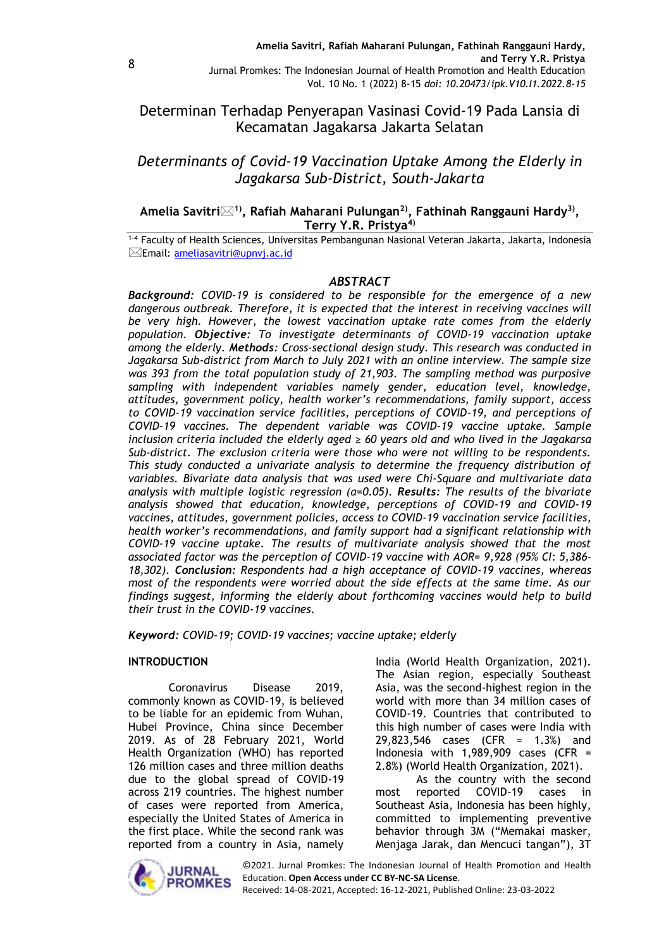Determinan Terhadap Penyerapan Vasinasi Covid-19 Pada Lansia di Kecamatan Jagakarsa Jakarta Selatan

# *Determinants of Covid-19 Vaccination Uptake Among the Elderly in Jagakarsa Sub-District, South-Jakarta*

# **Amelia Savitri1) , Rafiah Maharani Pulungan2) , Fathinah Ranggauni Hardy3) , Terry Y.R. Pristya4)**

1-4 Faculty of Health Sciences, Universitas Pembangunan Nasional Veteran Jakarta, Jakarta, Indonesia Email: [ameliasavitri@upnvj.ac.id](mailto:ameliasavitri@upnvj.ac.id)

# *ABSTRACT*

*Background: COVID-19 is considered to be responsible for the emergence of a new dangerous outbreak. Therefore, it is expected that the interest in receiving vaccines will be very high. However, the lowest vaccination uptake rate comes from the elderly population. Objective: To investigate determinants of COVID-19 vaccination uptake among the elderly. Methods: Cross-sectional design study. This research was conducted in Jagakarsa Sub-district from March to July 2021 with an online interview. The sample size was 393 from the total population study of 21,903. The sampling method was purposive sampling with independent variables namely gender, education level, knowledge, attitudes, government policy, health worker's recommendations, family support, access to COVID-19 vaccination service facilities, perceptions of COVID-19, and perceptions of COVID-19 vaccines. The dependent variable was COVID-19 vaccine uptake. Sample inclusion criteria included the elderly aged ≥ 60 years old and who lived in the Jagakarsa Sub-district. The exclusion criteria were those who were not willing to be respondents. This study conducted a univariate analysis to determine the frequency distribution of variables. Bivariate data analysis that was used were Chi-Square and multivariate data analysis with multiple logistic regression (α=0.05). Results: The results of the bivariate analysis showed that education, knowledge, perceptions of COVID-19 and COVID-19 vaccines, attitudes, government policies, access to COVID-19 vaccination service facilities, health worker's recommendations, and family support had a significant relationship with COVID-19 vaccine uptake. The results of multivariate analysis showed that the most associated factor was the perception of COVID-19 vaccine with AOR= 9,928 (95% CI: 5,386- 18,302). Conclusion: Respondents had a high acceptance of COVID-19 vaccines, whereas most of the respondents were worried about the side effects at the same time. As our findings suggest, informing the elderly about forthcoming vaccines would help to build their trust in the COVID-19 vaccines.*

*Keyword: COVID-19; COVID-19 vaccines; vaccine uptake; elderly*

### **INTRODUCTION**

Coronavirus Disease 2019, commonly known as COVID-19, is believed to be liable for an epidemic from Wuhan, Hubei Province, China since December 2019. As of 28 February 2021, World Health Organization (WHO) has reported 126 million cases and three million deaths due to the global spread of COVID-19 across 219 countries. The highest number of cases were reported from America, especially the United States of America in the first place. While the second rank was reported from a country in Asia, namely

India (World Health Organization, 2021). The Asian region, especially Southeast Asia, was the second-highest region in the world with more than 34 million cases of COVID-19. Countries that contributed to this high number of cases were India with 29,823,546 cases (CFR = 1.3%) and Indonesia with  $1,989,909$  cases (CFR = 2.8%) (World Health Organization, 2021).

As the country with the second most reported COVID-19 cases in Southeast Asia, Indonesia has been highly, committed to implementing preventive behavior through 3M ("Memakai masker, Menjaga Jarak, dan Mencuci tangan"), 3T

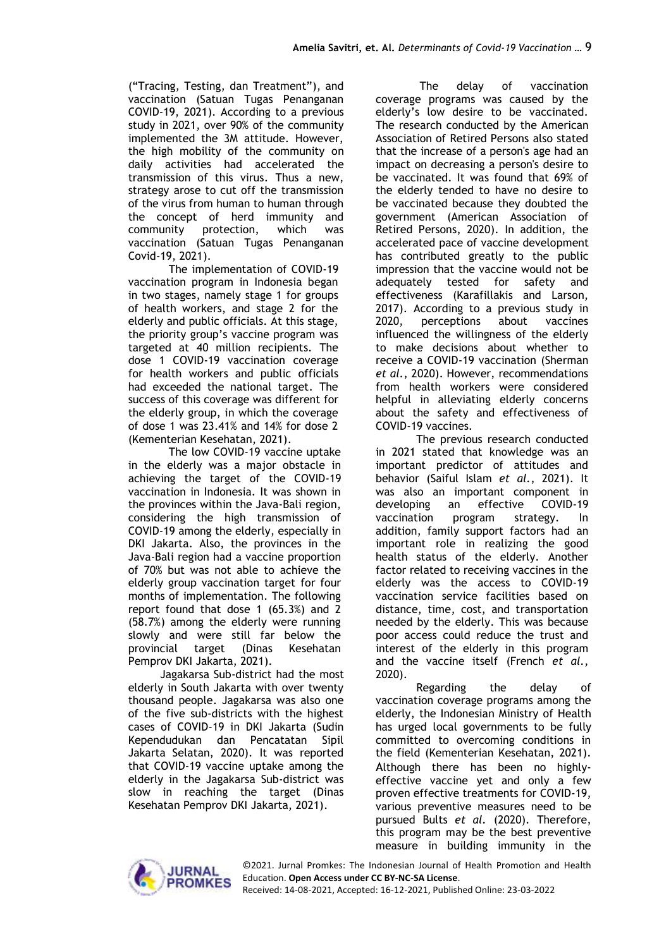("Tracing, Testing, dan Treatment"), and vaccination (Satuan Tugas Penanganan COVID-19, 2021). According to a previous study in 2021, over 90% of the community implemented the 3M attitude. However, the high mobility of the community on daily activities had accelerated the transmission of this virus. Thus a new, strategy arose to cut off the transmission of the virus from human to human through the concept of herd immunity and community protection, which was vaccination (Satuan Tugas Penanganan Covid-19, 2021).

The implementation of COVID-19 vaccination program in Indonesia began in two stages, namely stage 1 for groups of health workers, and stage 2 for the elderly and public officials. At this stage, the priority group's vaccine program was targeted at 40 million recipients. The dose 1 COVID-19 vaccination coverage for health workers and public officials had exceeded the national target. The success of this coverage was different for the elderly group, in which the coverage of dose 1 was 23.41% and 14% for dose 2 (Kementerian Kesehatan, 2021).

The low COVID-19 vaccine uptake in the elderly was a major obstacle in achieving the target of the COVID-19 vaccination in Indonesia. It was shown in the provinces within the Java-Bali region, considering the high transmission of COVID-19 among the elderly, especially in DKI Jakarta. Also, the provinces in the Java-Bali region had a vaccine proportion of 70% but was not able to achieve the elderly group vaccination target for four months of implementation. The following report found that dose 1 (65.3%) and 2 (58.7%) among the elderly were running slowly and were still far below the provincial target (Dinas Kesehatan Pemprov DKI Jakarta, 2021).

Jagakarsa Sub-district had the most elderly in South Jakarta with over twenty thousand people. Jagakarsa was also one of the five sub-districts with the highest cases of COVID-19 in DKI Jakarta (Sudin Kependudukan dan Pencatatan Sipil Jakarta Selatan, 2020). It was reported that COVID-19 vaccine uptake among the elderly in the Jagakarsa Sub-district was slow in reaching the target (Dinas Kesehatan Pemprov DKI Jakarta, 2021).

The delay of vaccination coverage programs was caused by the elderly's low desire to be vaccinated. The research conducted by the American Association of Retired Persons also stated that the increase of a person's age had an impact on decreasing a person's desire to be vaccinated. It was found that 69% of the elderly tended to have no desire to be vaccinated because they doubted the government (American Association of Retired Persons, 2020). In addition, the accelerated pace of vaccine development has contributed greatly to the public impression that the vaccine would not be adequately tested for safety and effectiveness (Karafillakis and Larson, 2017). According to a previous study in 2020, perceptions about vaccines influenced the willingness of the elderly to make decisions about whether to receive a COVID-19 vaccination (Sherman *et al.*, 2020). However, recommendations from health workers were considered helpful in alleviating elderly concerns about the safety and effectiveness of COVID-19 vaccines.

The previous research conducted in 2021 stated that knowledge was an important predictor of attitudes and behavior (Saiful Islam *et al.*, 2021). It was also an important component in developing an effective COVID-19 vaccination program strategy. In addition, family support factors had an important role in realizing the good health status of the elderly. Another factor related to receiving vaccines in the elderly was the access to COVID-19 vaccination service facilities based on distance, time, cost, and transportation needed by the elderly. This was because poor access could reduce the trust and interest of the elderly in this program and the vaccine itself (French *et al.*, 2020).

Regarding the delay of vaccination coverage programs among the elderly, the Indonesian Ministry of Health has urged local governments to be fully committed to overcoming conditions in the field (Kementerian Kesehatan, 2021). Although there has been no highlyeffective vaccine yet and only a few proven effective treatments for COVID-19, various preventive measures need to be pursued Bults *et al.* (2020). Therefore, this program may be the best preventive measure in building immunity in the



©2021. Jurnal Promkes: The Indonesian Journal of Health Promotion and Health Education. **Open Access under CC BY-NC-SA License**.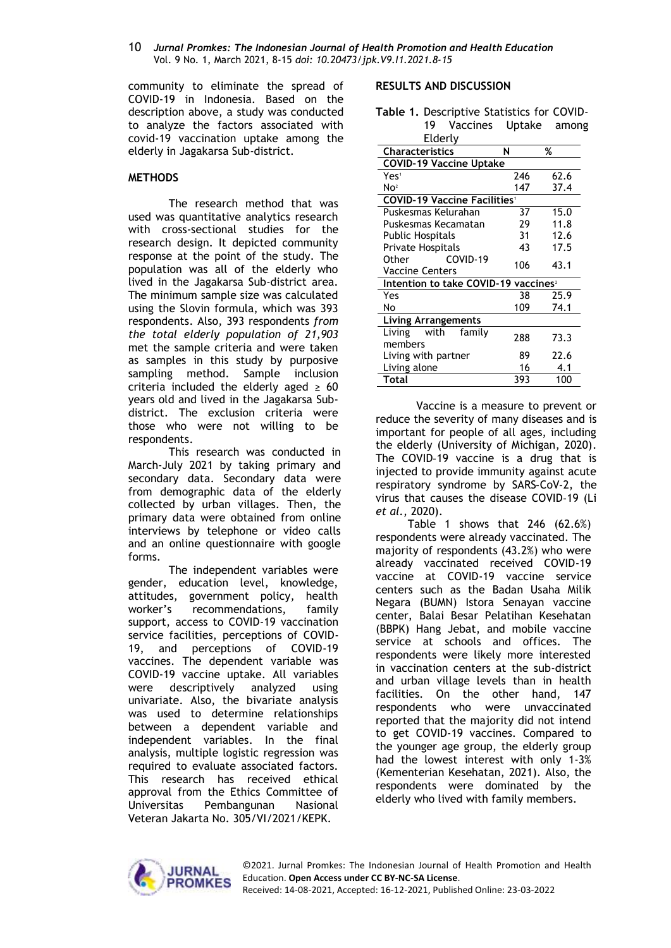#### 10 *Jurnal Promkes: The Indonesian Journal of Health Promotion and Health Education* Vol. 9 No. 1, March 2021, 8-15 *doi: 10.20473/jpk.V9.I1.2021.8-15*

community to eliminate the spread of COVID-19 in Indonesia. Based on the description above, a study was conducted to analyze the factors associated with covid-19 vaccination uptake among the elderly in Jagakarsa Sub-district.

### **METHODS**

The research method that was used was quantitative analytics research with cross-sectional studies for the research design. It depicted community response at the point of the study. The population was all of the elderly who lived in the Jagakarsa Sub-district area. The minimum sample size was calculated using the Slovin formula, which was 393 respondents. Also, 393 respondents *from the total elderly population of 21,903* met the sample criteria and were taken as samples in this study by purposive sampling method. Sample inclusion criteria included the elderly aged  $\geq 60$ years old and lived in the Jagakarsa Subdistrict. The exclusion criteria were those who were not willing to be respondents.

This research was conducted in March-July 2021 by taking primary and secondary data. Secondary data were from demographic data of the elderly collected by urban villages. Then, the primary data were obtained from online interviews by telephone or video calls and an online questionnaire with google forms.

The independent variables were gender, education level, knowledge, attitudes, government policy, health worker's recommendations, family support, access to COVID-19 vaccination service facilities, perceptions of COVID-19, and perceptions of COVID-19 vaccines. The dependent variable was COVID-19 vaccine uptake. All variables were descriptively analyzed using univariate. Also, the bivariate analysis was used to determine relationships between a dependent variable and independent variables. In the final analysis, multiple logistic regression was required to evaluate associated factors. This research has received ethical approval from the Ethics Committee of Universitas Pembangunan Nasional Veteran Jakarta No. 305/VI/2021/KEPK.

### **RESULTS AND DISCUSSION**

**Table 1.** Descriptive Statistics for COVID-19 Vaccines Uptake among

| Elderly                                          |     |      |  |  |  |
|--------------------------------------------------|-----|------|--|--|--|
| <b>Characteristics</b>                           | N   | %    |  |  |  |
| <b>COVID-19 Vaccine Uptake</b>                   |     |      |  |  |  |
| Yes'                                             | 246 | 62.6 |  |  |  |
| No <sup>2</sup>                                  | 147 | 37.4 |  |  |  |
| <b>COVID-19 Vaccine Facilities</b>               |     |      |  |  |  |
| Puskesmas Kelurahan                              | 37  | 15.0 |  |  |  |
| Puskesmas Kecamatan                              | 29  | 11.8 |  |  |  |
| Public Hospitals                                 | 31  | 12.6 |  |  |  |
| Private Hospitals                                | 43  | 17.5 |  |  |  |
| COVID-19<br>Other<br>Vaccine Centers             | 106 | 43.1 |  |  |  |
| Intention to take COVID-19 vaccines <sup>2</sup> |     |      |  |  |  |
| Yes                                              | 38  | 25.9 |  |  |  |
| No                                               | 109 | 74.1 |  |  |  |
| Living Arrangements                              |     |      |  |  |  |
| with<br>family<br>Living<br>members              | 288 | 73.3 |  |  |  |
| Living with partner                              | 89  | 22.6 |  |  |  |
| Living alone                                     | 16  | 4.1  |  |  |  |
| Total                                            | 393 | 100  |  |  |  |

Vaccine is a measure to prevent or reduce the severity of many diseases and is important for people of all ages, including the elderly (University of Michigan, 2020). The COVID-19 vaccine is a drug that is injected to provide immunity against acute respiratory syndrome by SARS‑CoV‑2, the virus that causes the disease COVID‑19 (Li *et al.*, 2020).

Table 1 shows that 246 (62.6%) respondents were already vaccinated. The majority of respondents (43.2%) who were already vaccinated received COVID-19 vaccine at COVID-19 vaccine service centers such as the Badan Usaha Milik Negara (BUMN) Istora Senayan vaccine center, Balai Besar Pelatihan Kesehatan (BBPK) Hang Jebat, and mobile vaccine service at schools and offices. The respondents were likely more interested in vaccination centers at the sub-district and urban village levels than in health facilities. On the other hand, 147 respondents who were unvaccinated reported that the majority did not intend to get COVID-19 vaccines. Compared to the younger age group, the elderly group had the lowest interest with only 1-3% (Kementerian Kesehatan, 2021). Also, the respondents were dominated by the elderly who lived with family members.

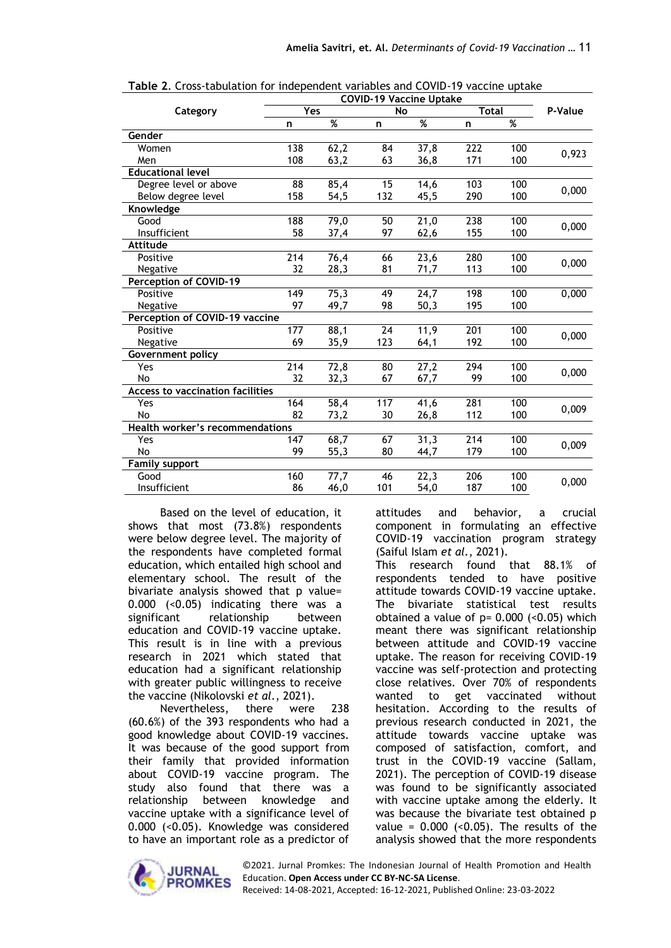|                                         | <b>COVID-19 Vaccine Uptake</b> |                   |                  |      |              |     |         |
|-----------------------------------------|--------------------------------|-------------------|------------------|------|--------------|-----|---------|
| Category                                | Yes                            |                   | No               |      | <b>Total</b> |     | P-Value |
|                                         | n                              | %                 | n                | %    | n            | %   |         |
| Gender                                  |                                |                   |                  |      |              |     |         |
| Women                                   | 138                            | 62,2              | 84               | 37,8 | 222          | 100 |         |
| Men                                     | 108                            | 63,2              | 63               | 36,8 | 171          | 100 | 0,923   |
| <b>Educational level</b>                |                                |                   |                  |      |              |     |         |
| Degree level or above                   | 88                             | 85,4              | 15               | 14,6 | 103          | 100 |         |
| Below degree level                      | 158                            | 54,5              | 132              | 45,5 | 290          | 100 | 0,000   |
| Knowledge                               |                                |                   |                  |      |              |     |         |
| Good                                    | 188                            | 79,0              | 50               | 21,0 | 238          | 100 |         |
| Insufficient                            | 58                             | 37,4              | 97               | 62,6 | 155          | 100 | 0,000   |
| <b>Attitude</b>                         |                                |                   |                  |      |              |     |         |
| Positive                                | 214                            | 76,4              | 66               | 23,6 | 280          | 100 |         |
| Negative                                | 32                             | 28,3              | 81               | 71,7 | 113          | 100 | 0,000   |
| Perception of COVID-19                  |                                |                   |                  |      |              |     |         |
| Positive                                | 149                            | 75,3              | 49               | 24,7 | 198          | 100 | 0,000   |
| Negative                                | 97                             | 49,7              | 98               | 50,3 | 195          | 100 |         |
|                                         | Perception of COVID-19 vaccine |                   |                  |      |              |     |         |
| Positive                                | 177                            | 88,1              | 24               | 11,9 | 201          | 100 |         |
| Negative                                | 69                             | 35,9              | 123              | 64,1 | 192          | 100 | 0,000   |
| Government policy                       |                                |                   |                  |      |              |     |         |
| Yes                                     | 214                            | 72,8              | 80               | 27,2 | 294          | 100 |         |
| No                                      | 32                             | 32,3              | 67               | 67,7 | 99           | 100 | 0,000   |
| <b>Access to vaccination facilities</b> |                                |                   |                  |      |              |     |         |
| Yes                                     | 164                            | $\overline{58,4}$ | $\overline{117}$ | 41,6 | 281          | 100 | 0,009   |
| No                                      | 82                             | 73,2              | 30               | 26,8 | 112          | 100 |         |
| <b>Health worker's recommendations</b>  |                                |                   |                  |      |              |     |         |
| Yes                                     | 147                            | 68,7              | 67               | 31,3 | 214          | 100 | 0,009   |
| No                                      | 99                             | 55,3              | 80               | 44,7 | 179          | 100 |         |
| <b>Family support</b>                   |                                |                   |                  |      |              |     |         |
| Good                                    | 160                            | 77,7              | 46               | 22,3 | 206          | 100 | 0,000   |
| Insufficient                            | 86                             | 46,0              | 101              | 54,0 | 187          | 100 |         |

**Table 2**. Cross-tabulation for independent variables and COVID-19 vaccine uptake

Based on the level of education, it shows that most (73.8%) respondents were below degree level. The majority of the respondents have completed formal education, which entailed high school and elementary school. The result of the bivariate analysis showed that p value= 0.000 (<0.05) indicating there was a significant relationship between education and COVID-19 vaccine uptake. This result is in line with a previous research in 2021 which stated that education had a significant relationship with greater public willingness to receive the vaccine (Nikolovski *et al.*, 2021).

Nevertheless, there were 238 (60.6%) of the 393 respondents who had a good knowledge about COVID-19 vaccines. It was because of the good support from their family that provided information about COVID-19 vaccine program. The study also found that there was a relationship between knowledge and vaccine uptake with a significance level of 0.000 (<0.05). Knowledge was considered to have an important role as a predictor of attitudes and behavior, a crucial component in formulating an effective COVID-19 vaccination program strategy (Saiful Islam *et al.*, 2021).

This research found that 88.1% of respondents tended to have positive attitude towards COVID-19 vaccine uptake. The bivariate statistical test results obtained a value of  $p= 0.000$  (<0.05) which meant there was significant relationship between attitude and COVID-19 vaccine uptake. The reason for receiving COVID-19 vaccine was self-protection and protecting close relatives. Over 70% of respondents wanted to get vaccinated without hesitation. According to the results of previous research conducted in 2021, the attitude towards vaccine uptake was composed of satisfaction, comfort, and trust in the COVID-19 vaccine (Sallam, 2021). The perception of COVID-19 disease was found to be significantly associated with vaccine uptake among the elderly. It was because the bivariate test obtained p value =  $0.000$  (< $0.05$ ). The results of the analysis showed that the more respondents

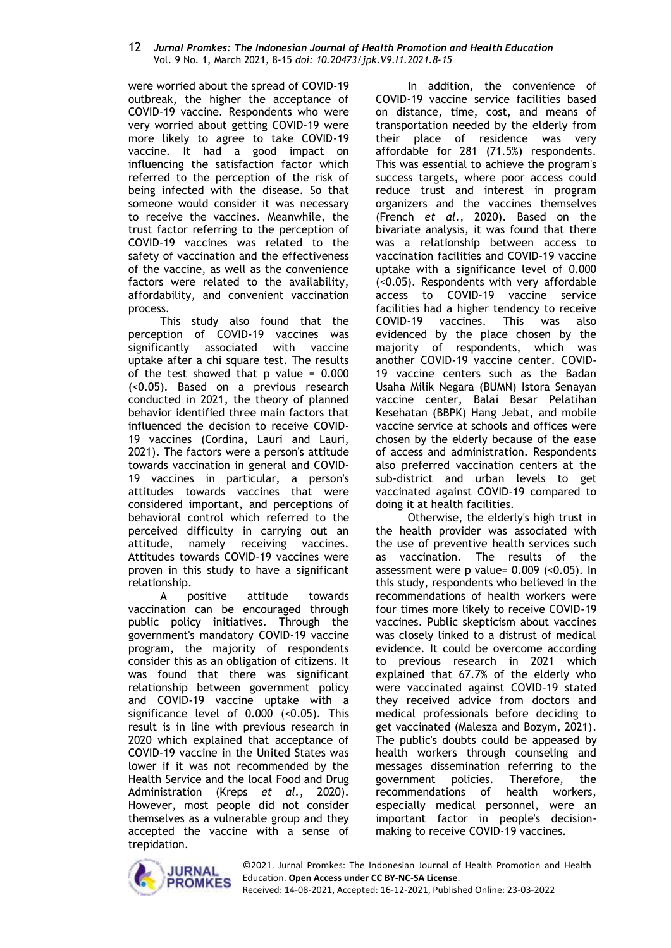#### 12 *Jurnal Promkes: The Indonesian Journal of Health Promotion and Health Education* Vol. 9 No. 1, March 2021, 8-15 *doi: 10.20473/jpk.V9.I1.2021.8-15*

were worried about the spread of COVID-19 outbreak, the higher the acceptance of COVID-19 vaccine. Respondents who were very worried about getting COVID-19 were more likely to agree to take COVID-19 vaccine. It had a good impact on influencing the satisfaction factor which referred to the perception of the risk of being infected with the disease. So that someone would consider it was necessary to receive the vaccines. Meanwhile, the trust factor referring to the perception of COVID-19 vaccines was related to the safety of vaccination and the effectiveness of the vaccine, as well as the convenience factors were related to the availability, affordability, and convenient vaccination process.

This study also found that the perception of COVID-19 vaccines was significantly associated with vaccine uptake after a chi square test. The results of the test showed that  $p$  value =  $0.000$ (<0.05). Based on a previous research conducted in 2021, the theory of planned behavior identified three main factors that influenced the decision to receive COVID-19 vaccines (Cordina, Lauri and Lauri, 2021). The factors were a person's attitude towards vaccination in general and COVID-19 vaccines in particular, a person's attitudes towards vaccines that were considered important, and perceptions of behavioral control which referred to the perceived difficulty in carrying out an attitude, namely receiving vaccines. Attitudes towards COVID-19 vaccines were proven in this study to have a significant relationship.

A positive attitude towards vaccination can be encouraged through public policy initiatives. Through the government's mandatory COVID-19 vaccine program, the majority of respondents consider this as an obligation of citizens. It was found that there was significant relationship between government policy and COVID-19 vaccine uptake with a significance level of  $0.000$  (< $0.05$ ). This result is in line with previous research in 2020 which explained that acceptance of COVID-19 vaccine in the United States was lower if it was not recommended by the Health Service and the local Food and Drug Administration (Kreps *et al.*, 2020). However, most people did not consider themselves as a vulnerable group and they accepted the vaccine with a sense of trepidation.

In addition, the convenience of COVID-19 vaccine service facilities based on distance, time, cost, and means of transportation needed by the elderly from their place of residence was very affordable for 281 (71.5%) respondents. This was essential to achieve the program's success targets, where poor access could reduce trust and interest in program organizers and the vaccines themselves (French *et al.*, 2020). Based on the bivariate analysis, it was found that there was a relationship between access to vaccination facilities and COVID-19 vaccine uptake with a significance level of 0.000 (<0.05). Respondents with very affordable access to COVID-19 vaccine service facilities had a higher tendency to receive COVID-19 vaccines. This was also evidenced by the place chosen by the majority of respondents, which was another COVID-19 vaccine center. COVID-19 vaccine centers such as the Badan Usaha Milik Negara (BUMN) Istora Senayan vaccine center, Balai Besar Pelatihan Kesehatan (BBPK) Hang Jebat, and mobile vaccine service at schools and offices were chosen by the elderly because of the ease of access and administration. Respondents also preferred vaccination centers at the sub-district and urban levels to get vaccinated against COVID-19 compared to doing it at health facilities.

Otherwise, the elderly's high trust in the health provider was associated with the use of preventive health services such as vaccination. The results of the assessment were p value= 0.009 (<0.05). In this study, respondents who believed in the recommendations of health workers were four times more likely to receive COVID-19 vaccines. Public skepticism about vaccines was closely linked to a distrust of medical evidence. It could be overcome according to previous research in 2021 which explained that 67.7% of the elderly who were vaccinated against COVID-19 stated they received advice from doctors and medical professionals before deciding to get vaccinated (Malesza and Bozym, 2021). The public's doubts could be appeased by health workers through counseling and messages dissemination referring to the government policies. Therefore, the recommendations of health workers, especially medical personnel, were an important factor in people's decisionmaking to receive COVID-19 vaccines.

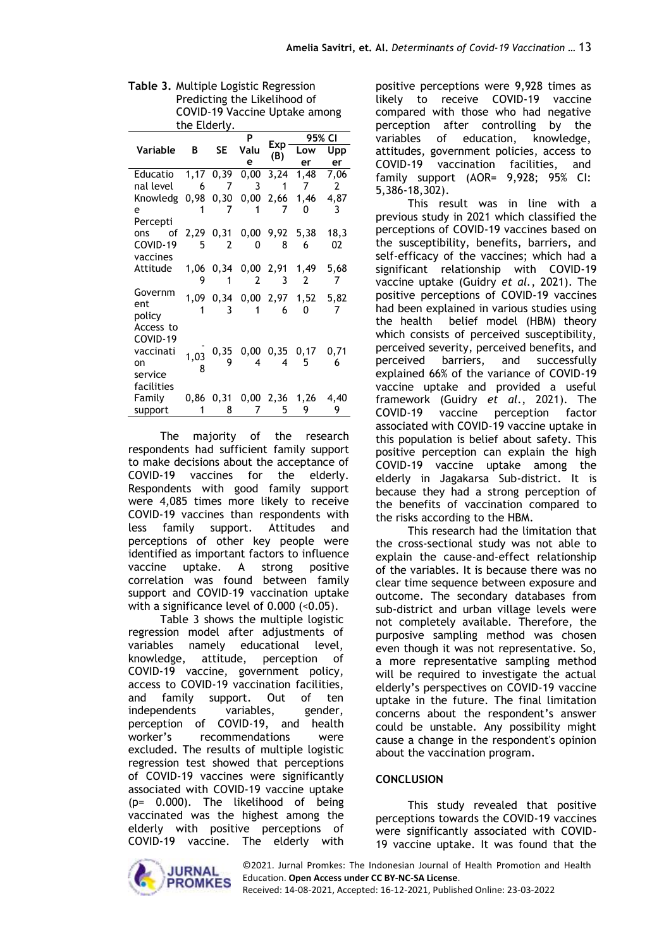| Table 3. Multiple Logistic Regression |
|---------------------------------------|
| Predicting the Likelihood of          |
| COVID-19 Vaccine Uptake among         |
| the Elderly.                          |

| ule Liderty.                      |      |                |                             |                |                               |                |  |
|-----------------------------------|------|----------------|-----------------------------|----------------|-------------------------------|----------------|--|
|                                   |      |                | P<br>Valu<br><b>SE</b><br>e | Exp<br>(B)     | 95% CI                        |                |  |
| Variable                          | В    |                |                             |                | Low                           | Upp            |  |
|                                   |      |                |                             |                | er                            | er             |  |
| Educatio 1,17 0,39 0,00 3,24      |      |                |                             |                | 1,48                          | 7,06           |  |
| nal level 6 7 3 1                 |      |                |                             |                | $\overline{7}$                | $\overline{2}$ |  |
| Knowledg 0,98 0,30 0,00 2,66 1,46 |      |                |                             |                |                               | 4,87           |  |
| e –                               | 1    | $\overline{7}$ | $\overline{\mathbf{1}}$     | 7              | 0                             | 3              |  |
| Percepti                          |      |                |                             |                |                               |                |  |
| ons of                            |      |                |                             |                | 2,29 0,31 0,00 9,92 5,38      | 18,3           |  |
| COVID-19                          | 5    | $\overline{2}$ | 0                           | 8              | 6                             | 02             |  |
| vaccines                          |      |                |                             |                |                               |                |  |
| Attitude 1,06 0,34 0,00 2,91 1,49 |      |                |                             |                |                               | 5,68           |  |
|                                   | 9    | 1              | 2                           | 3              | $\overline{2}$                | -7             |  |
| Governm                           |      |                |                             |                | 1,09 0,34 0,00 2,97 1,52 5,82 |                |  |
| ent                               | 1    | -3             | $\overline{\mathbf{1}}$     | 6              | 0                             | 7              |  |
| policy                            |      |                |                             |                |                               |                |  |
| Access to                         |      |                |                             |                |                               |                |  |
| COVID-19                          |      |                |                             |                |                               |                |  |
| vaccinati                         | 1,03 |                |                             |                | 0,35 0,00 0,35 0,17 0,71      |                |  |
| on                                | 8    | 9              | 4                           | $\overline{4}$ | 5                             | 6              |  |
| service                           |      |                |                             |                |                               |                |  |
| facilities                        |      |                |                             |                |                               |                |  |
| Family                            |      |                |                             |                | 0,86 0,31 0,00 2,36 1,26      | 4,40           |  |
| support                           | 1    | 8              | 7                           | 5              | 9                             | 9              |  |

The majority of the research respondents had sufficient family support to make decisions about the acceptance of COVID-19 vaccines for the elderly. Respondents with good family support were 4,085 times more likely to receive COVID-19 vaccines than respondents with less family support. Attitudes and perceptions of other key people were identified as important factors to influence vaccine uptake. A strong positive correlation was found between family support and COVID-19 vaccination uptake with a significance level of 0.000 (<0.05).

Table 3 shows the multiple logistic regression model after adjustments of variables namely educational level, knowledge, attitude, perception of COVID-19 vaccine, government policy, access to COVID-19 vaccination facilities, and family support. Out of ten independents variables, gender, perception of COVID-19, and health worker's recommendations were excluded. The results of multiple logistic regression test showed that perceptions of COVID-19 vaccines were significantly associated with COVID-19 vaccine uptake (p= 0.000). The likelihood of being vaccinated was the highest among the elderly with positive perceptions of COVID-19 vaccine. The elderly with positive perceptions were 9,928 times as likely to receive COVID-19 vaccine compared with those who had negative perception after controlling by the variables of education, knowledge, attitudes, government policies, access to COVID-19 vaccination facilities, and family support (AOR= 9,928; 95% CI: 5,386-18,302).

This result was in line with a previous study in 2021 which classified the perceptions of COVID-19 vaccines based on the susceptibility, benefits, barriers, and self-efficacy of the vaccines; which had a significant relationship with COVID-19 vaccine uptake (Guidry *et al.*, 2021). The positive perceptions of COVID-19 vaccines had been explained in various studies using the health belief model (HBM) theory which consists of perceived susceptibility, perceived severity, perceived benefits, and perceived barriers, and successfully explained 66% of the variance of COVID-19 vaccine uptake and provided a useful framework (Guidry *et al.*, 2021). The COVID-19 vaccine perception factor associated with COVID-19 vaccine uptake in this population is belief about safety. This positive perception can explain the high COVID-19 vaccine uptake among the elderly in Jagakarsa Sub-district. It is because they had a strong perception of the benefits of vaccination compared to the risks according to the HBM.

This research had the limitation that the cross-sectional study was not able to explain the cause-and-effect relationship of the variables. It is because there was no clear time sequence between exposure and outcome. The secondary databases from sub-district and urban village levels were not completely available. Therefore, the purposive sampling method was chosen even though it was not representative. So, a more representative sampling method will be required to investigate the actual elderly's perspectives on COVID-19 vaccine uptake in the future. The final limitation concerns about the respondent's answer could be unstable. Any possibility might cause a change in the respondent's opinion about the vaccination program.

# **CONCLUSION**

This study revealed that positive perceptions towards the COVID-19 vaccines were significantly associated with COVID-19 vaccine uptake. It was found that the



©2021. Jurnal Promkes: The Indonesian Journal of Health Promotion and Health Education. **Open Access under CC BY-NC-SA License**.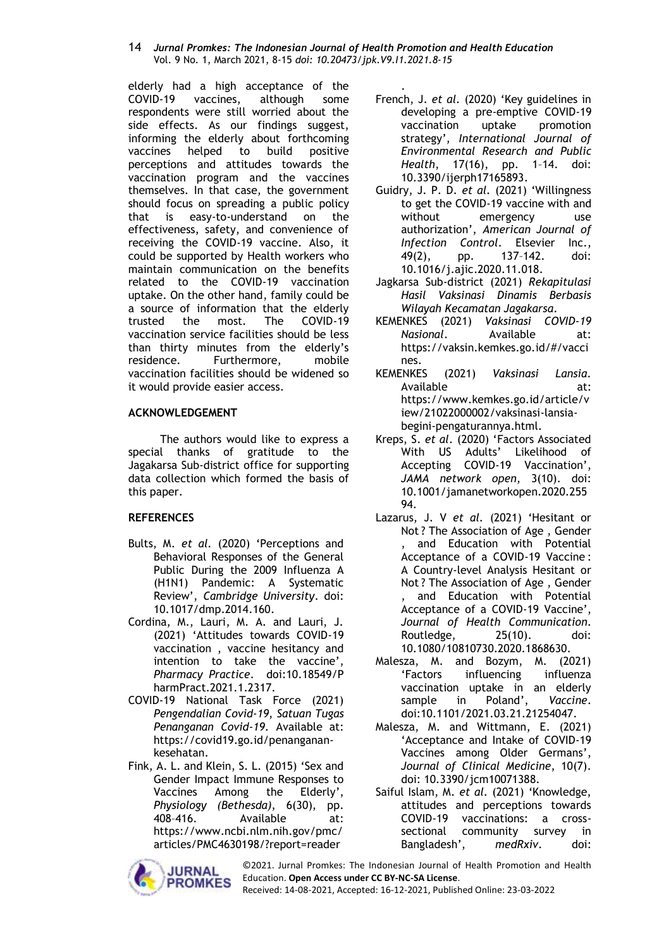#### 14 *Jurnal Promkes: The Indonesian Journal of Health Promotion and Health Education* Vol. 9 No. 1, March 2021, 8-15 *doi: 10.20473/jpk.V9.I1.2021.8-15*

elderly had a high acceptance of the COVID-19 vaccines, although some respondents were still worried about the side effects. As our findings suggest, informing the elderly about forthcoming vaccines helped to build positive perceptions and attitudes towards the vaccination program and the vaccines themselves. In that case, the government should focus on spreading a public policy that is easy-to-understand on the effectiveness, safety, and convenience of receiving the COVID-19 vaccine. Also, it could be supported by Health workers who maintain communication on the benefits related to the COVID-19 vaccination uptake. On the other hand, family could be a source of information that the elderly trusted the most. The COVID-19 vaccination service facilities should be less than thirty minutes from the elderly's residence. Furthermore, mobile vaccination facilities should be widened so it would provide easier access.

# **ACKNOWLEDGEMENT**

The authors would like to express a special thanks of gratitude to the Jagakarsa Sub-district office for supporting data collection which formed the basis of this paper.

# **REFERENCES**

- Bults, M. *et al.* (2020) 'Perceptions and Behavioral Responses of the General Public During the 2009 Influenza A (H1N1) Pandemic: A Systematic Review', *Cambridge University*. doi: 10.1017/dmp.2014.160.
- Cordina, M., Lauri, M. A. and Lauri, J. (2021) 'Attitudes towards COVID-19 vaccination , vaccine hesitancy and intention to take the vaccine', *Pharmacy Practice*. doi:10.18549/P harmPract.2021.1.2317.
- COVID-19 National Task Force (2021) *Pengendalian Covid-19*, *Satuan Tugas Penanganan Covid-19*. Available at: https://covid19.go.id/penanganankesehatan.
- Fink, A. L. and Klein, S. L. (2015) 'Sex and Gender Impact Immune Responses to Vaccines Among the Elderly', *Physiology (Bethesda)*, 6(30), pp. 408–416. Available at: https://www.ncbi.nlm.nih.gov/pmc/ articles/PMC4630198/?report=reader



. French, J. *et al.* (2020) 'Key guidelines in developing a pre-emptive COVID-19 vaccination uptake promotion strategy', *International Journal of Environmental Research and Public Health*, 17(16), pp. 1–14. doi: 10.3390/ijerph17165893.

- Guidry, J. P. D. *et al.* (2021) 'Willingness to get the COVID-19 vaccine with and without emergency use authorization', *American Journal of Infection Control*. Elsevier Inc., 49(2), pp. 137–142. doi: 10.1016/j.ajic.2020.11.018.
- Jagkarsa Sub-district (2021) *Rekapitulasi Hasil Vaksinasi Dinamis Berbasis Wilayah Kecamatan Jagakarsa*.
- KEMENKES (2021) *Vaksinasi COVID-19 Nasional*. Available at: https://vaksin.kemkes.go.id/#/vacci nes.
- KEMENKES (2021) *Vaksinasi Lansia*. Available at: https://www.kemkes.go.id/article/v iew/21022000002/vaksinasi-lansiabegini-pengaturannya.html.
- Kreps, S. *et al.* (2020) 'Factors Associated With US Adults' Likelihood of Accepting COVID-19 Vaccination', *JAMA network open*, 3(10). doi: 10.1001/jamanetworkopen.2020.255 94.
- Lazarus, J. V *et al.* (2021) 'Hesitant or Not ? The Association of Age , Gender and Education with Potential Acceptance of a COVID-19 Vaccine : A Country-level Analysis Hesitant or Not ? The Association of Age , Gender and Education with Potential Acceptance of a COVID-19 Vaccine', *Journal of Health Communication*. Routledge, 25(10). doi: 10.1080/10810730.2020.1868630.
- Malesza, M. and Bozym, M. (2021) 'Factors influencing influenza vaccination uptake in an elderly sample in Poland', *Vaccine*. doi:10.1101/2021.03.21.21254047.
- Malesza, M. and Wittmann, E. (2021) 'Acceptance and Intake of COVID-19 Vaccines among Older Germans', *Journal of Clinical Medicine*, 10(7). doi: 10.3390/jcm10071388.
- Saiful Islam, M. *et al.* (2021) 'Knowledge, attitudes and perceptions towards COVID-19 vaccinations: a crosssectional community survey in Bangladesh', *medRxiv*. doi: